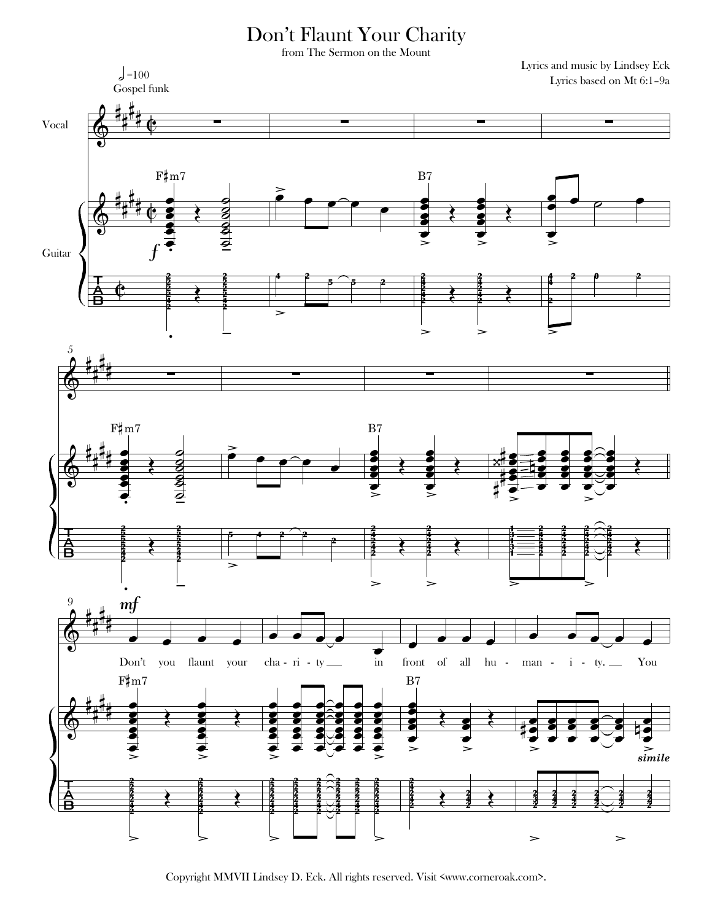## Don't Flaunt Your Charity

from The Sermon on the Mount

Lyrics and music by Lindsey Eck

 $\int = 100$ Lyrics based on Mt 6:1-9a Gospel funk Vocal  $F\sharp m7$  $B7$ द्ध<br>व Guitar  $\geq$  $\geq$ 5  $F\sharp m7$  $B7$ ξ  $\bullet$ ಶ  $\geq$ mf z  $\mathrm{Don't}$ you flaunt your  $cha - ri - ty$  $\operatorname{in}$ front of all hu  $i -$ You man  $ty.$  $F\sharp m7$  $B7$  $\sum_{\text{simile}}$ Ē  $\geq$ ⇒

Copyright MMVII Lindsey D. Eck. All rights reserved. Visit <www.corneroak.com>.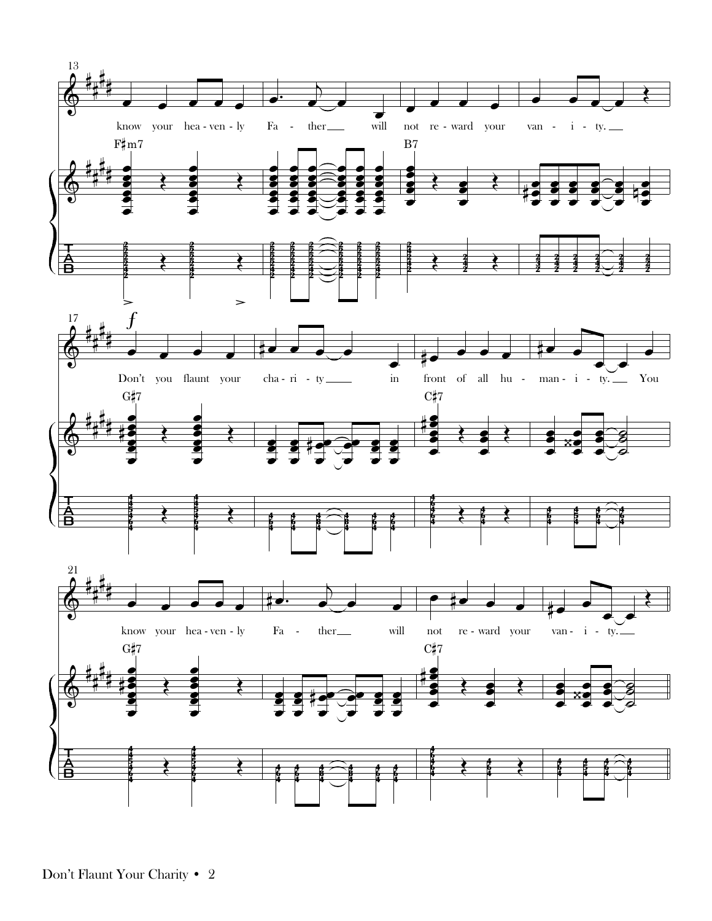

Don't Flaunt Your Charity • 2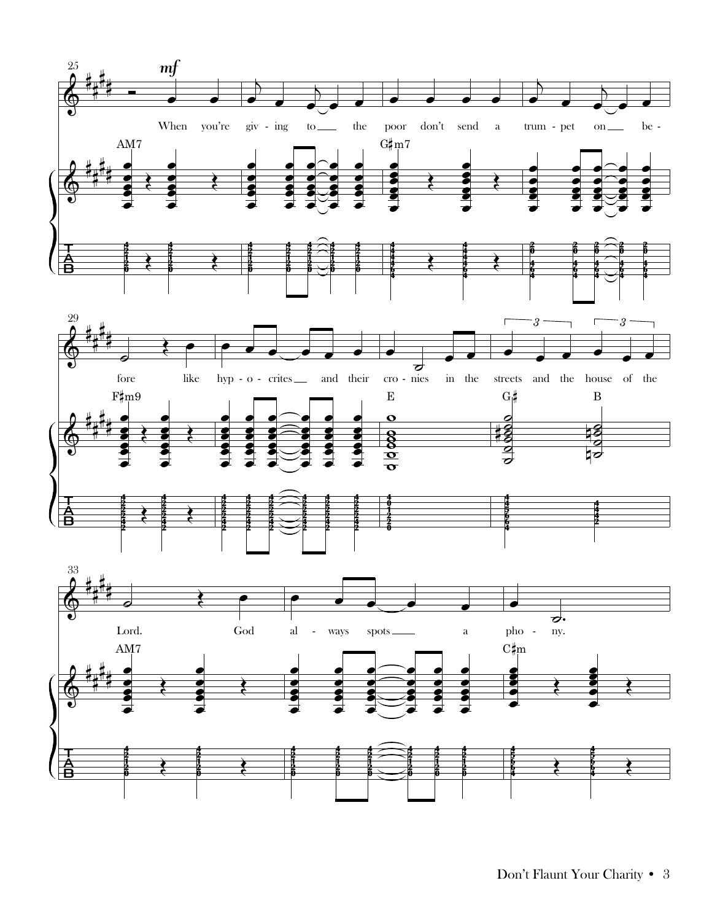



Don't Flaunt Your Charity • 3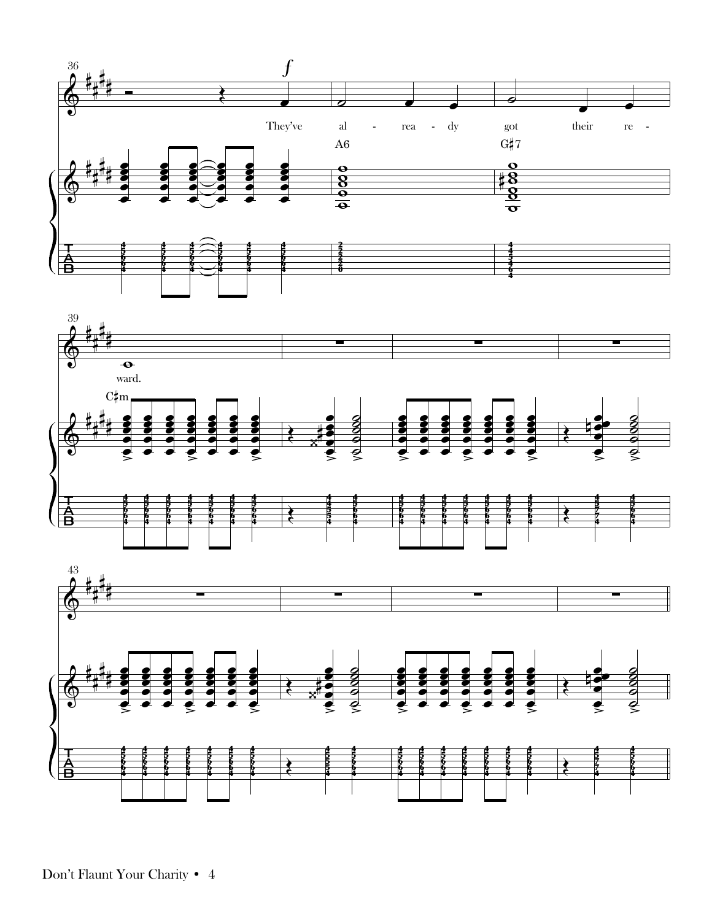

Don't Flaunt Your Charity • 4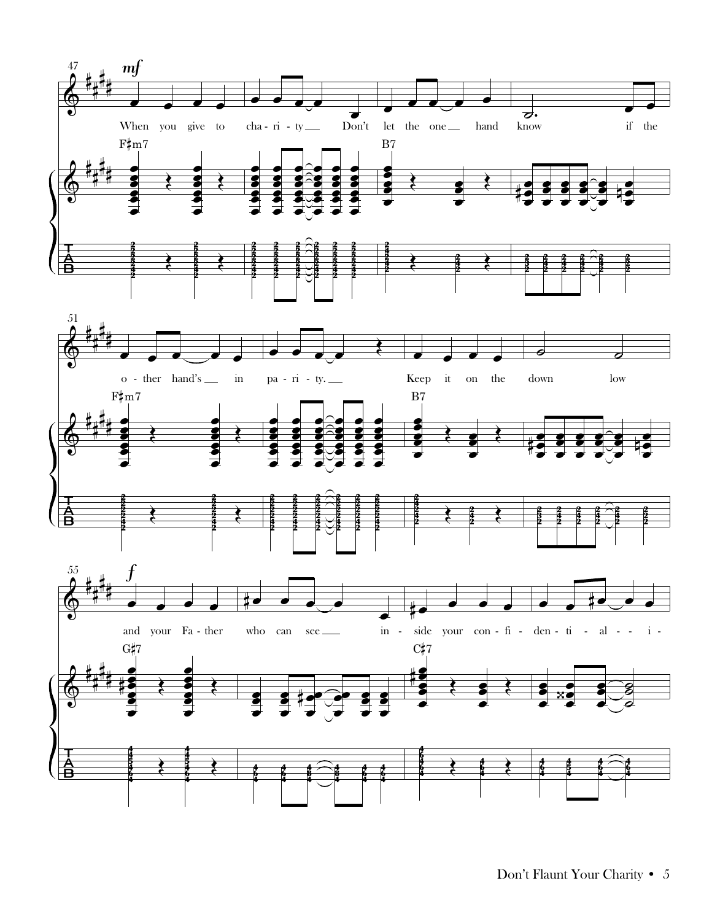

Don't Flaunt Your Charity • 5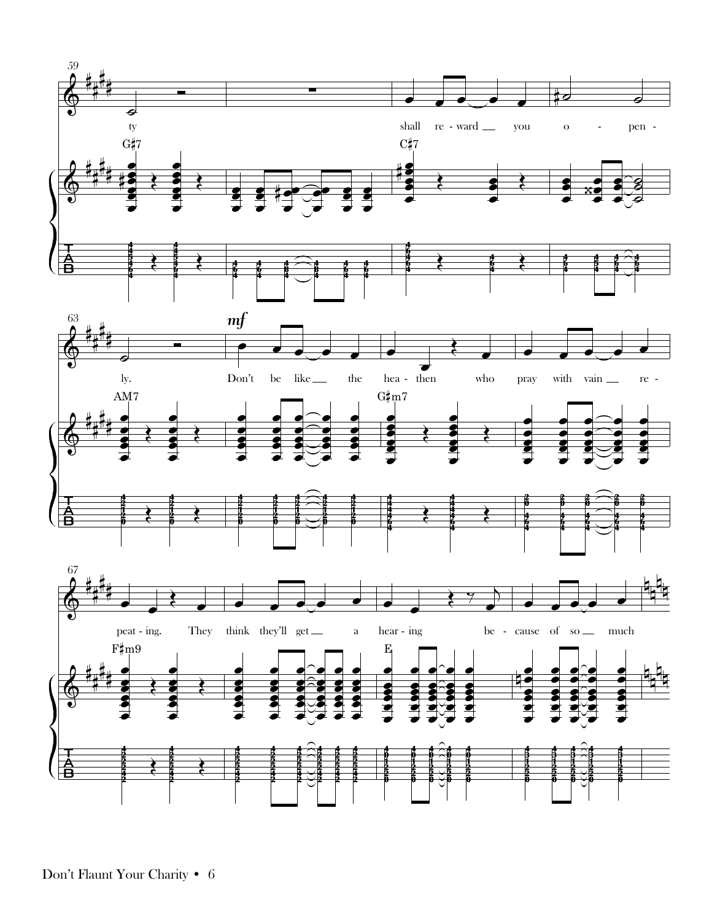

Don't Flaunt Your Charity • 6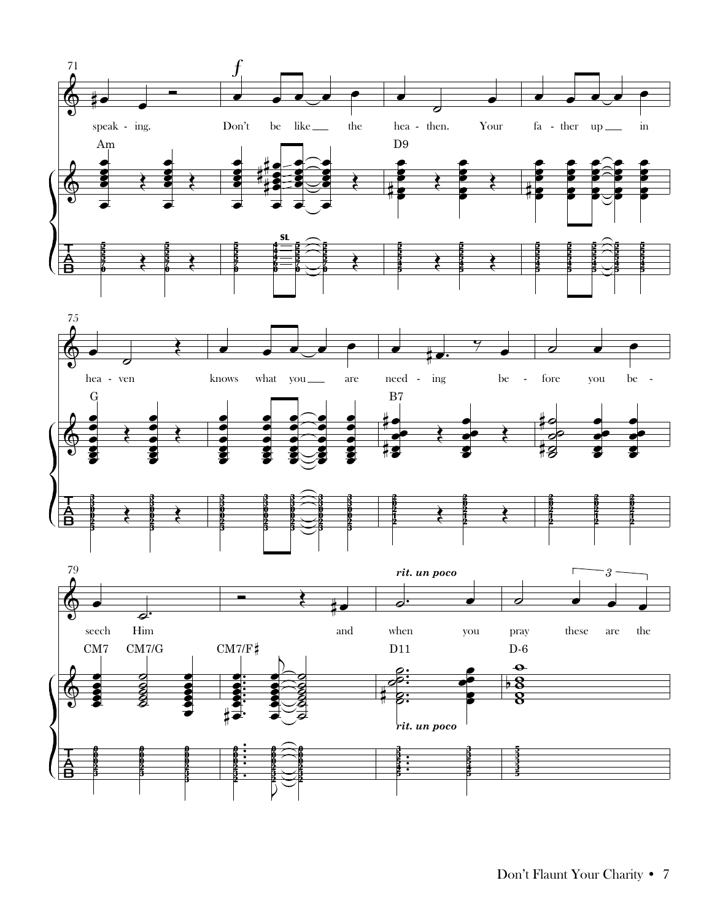





Don't Flaunt Your Charity • 7